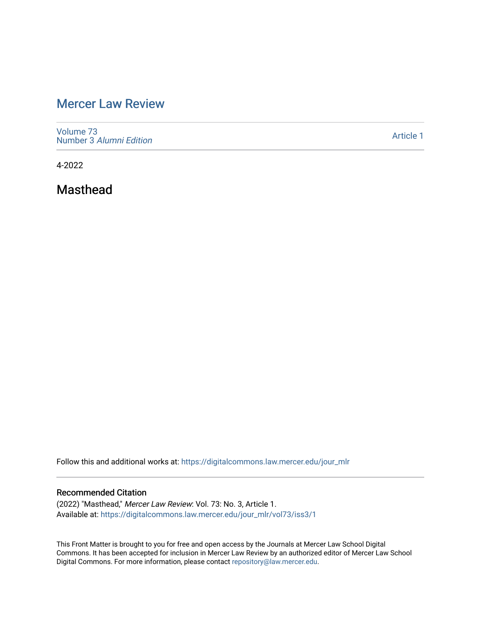# [Mercer Law Review](https://digitalcommons.law.mercer.edu/jour_mlr)

[Volume 73](https://digitalcommons.law.mercer.edu/jour_mlr/vol73) Number 3 [Alumni Edition](https://digitalcommons.law.mercer.edu/jour_mlr/vol73/iss3) 

[Article 1](https://digitalcommons.law.mercer.edu/jour_mlr/vol73/iss3/1) 

4-2022

Masthead

Follow this and additional works at: [https://digitalcommons.law.mercer.edu/jour\\_mlr](https://digitalcommons.law.mercer.edu/jour_mlr?utm_source=digitalcommons.law.mercer.edu%2Fjour_mlr%2Fvol73%2Fiss3%2F1&utm_medium=PDF&utm_campaign=PDFCoverPages)

## Recommended Citation

(2022) "Masthead," Mercer Law Review: Vol. 73: No. 3, Article 1. Available at: [https://digitalcommons.law.mercer.edu/jour\\_mlr/vol73/iss3/1](https://digitalcommons.law.mercer.edu/jour_mlr/vol73/iss3/1?utm_source=digitalcommons.law.mercer.edu%2Fjour_mlr%2Fvol73%2Fiss3%2F1&utm_medium=PDF&utm_campaign=PDFCoverPages)

This Front Matter is brought to you for free and open access by the Journals at Mercer Law School Digital Commons. It has been accepted for inclusion in Mercer Law Review by an authorized editor of Mercer Law School Digital Commons. For more information, please contact [repository@law.mercer.edu](mailto:repository@law.mercer.edu).